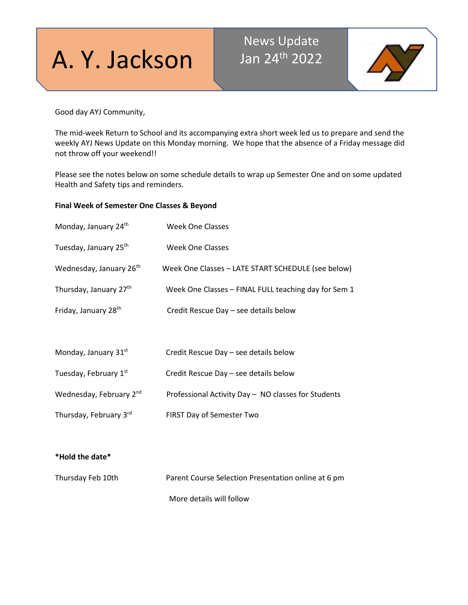# A. Y. Jackson

# News Update Jan 24th 2022



Good day AYJ Community,

The mid-week Return to School and its accompanying extra short week led us to prepare and send the weekly AYJ News Update on this Monday morning. We hope that the absence of a Friday message did not throw off your weekend!!

Please see the notes below on some schedule details to wrap up Semester One and on some updated Health and Safety tips and reminders.

# **Final Week of Semester One Classes & Beyond**

| Monday, January 24th                | <b>Week One Classes</b>                              |
|-------------------------------------|------------------------------------------------------|
| Tuesday, January 25 <sup>th</sup>   | Week One Classes                                     |
| Wednesday, January 26 <sup>th</sup> | Week One Classes - LATE START SCHEDULE (see below)   |
| Thursday, January 27th              | Week One Classes - FINAL FULL teaching day for Sem 1 |
| Friday, January 28 <sup>th</sup>    | Credit Rescue Day - see details below                |
|                                     |                                                      |
| Monday, January 31st                | Credit Rescue Day - see details below                |
| Tuesday, February 1st               | Credit Rescue Day - see details below                |
| Wednesday, February 2nd             | Professional Activity Day - NO classes for Students  |
| Thursday, February 3rd              | FIRST Day of Semester Two                            |
|                                     |                                                      |
|                                     |                                                      |
|                                     |                                                      |

**\*Hold the date\***

| Thursday Feb 10th | Parent Course Selection Presentation online at 6 pm |
|-------------------|-----------------------------------------------------|
|                   | More details will follow                            |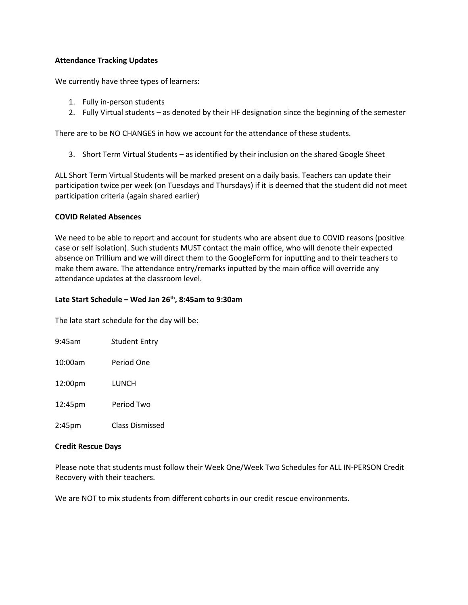# **Attendance Tracking Updates**

We currently have three types of learners:

- 1. Fully in-person students
- 2. Fully Virtual students as denoted by their HF designation since the beginning of the semester

There are to be NO CHANGES in how we account for the attendance of these students.

3. Short Term Virtual Students – as identified by their inclusion on the shared Google Sheet

ALL Short Term Virtual Students will be marked present on a daily basis. Teachers can update their participation twice per week (on Tuesdays and Thursdays) if it is deemed that the student did not meet participation criteria (again shared earlier)

# **COVID Related Absences**

We need to be able to report and account for students who are absent due to COVID reasons (positive case or self isolation). Such students MUST contact the main office, who will denote their expected absence on Trillium and we will direct them to the GoogleForm for inputting and to their teachers to make them aware. The attendance entry/remarks inputted by the main office will override any attendance updates at the classroom level.

# **Late Start Schedule – Wed Jan 26th, 8:45am to 9:30am**

The late start schedule for the day will be:

| $9:45$ am           | <b>Student Entry</b> |
|---------------------|----------------------|
| 10:00am             | Period One           |
| 12:00 <sub>pm</sub> | LUNCH                |
| 12:45pm             | Period Two           |
| 2:45 <sub>pm</sub>  | Class Dismissed      |

# **Credit Rescue Days**

Please note that students must follow their Week One/Week Two Schedules for ALL IN-PERSON Credit Recovery with their teachers.

We are NOT to mix students from different cohorts in our credit rescue environments.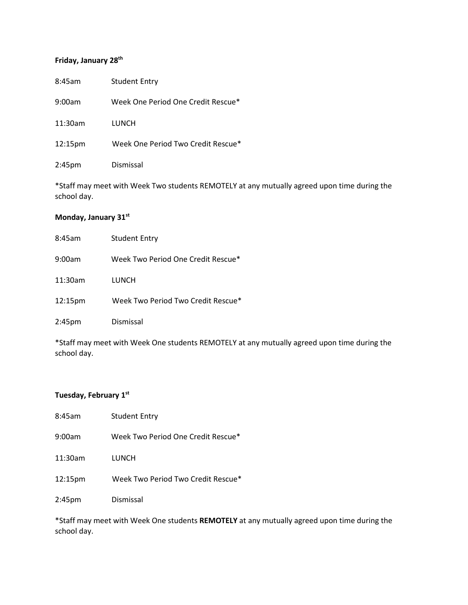# **Friday, January 28th**

| 8:45am             | <b>Student Entry</b>               |
|--------------------|------------------------------------|
| 9:00am             | Week One Period One Credit Rescue* |
| 11:30am            | LUNCH                              |
| 12:15pm            | Week One Period Two Credit Rescue* |
| 2:45 <sub>pm</sub> | Dismissal                          |

\*Staff may meet with Week Two students REMOTELY at any mutually agreed upon time during the school day.

# **Monday, January 31st**

| 8:45am             | <b>Student Entry</b>               |
|--------------------|------------------------------------|
| 9:00am             | Week Two Period One Credit Rescue* |
| 11:30am            | LUNCH                              |
| 12:15pm            | Week Two Period Two Credit Rescue* |
| 2:45 <sub>pm</sub> | Dismissal                          |

\*Staff may meet with Week One students REMOTELY at any mutually agreed upon time during the school day.

# **Tuesday, February 1st**

| 8:45am             | <b>Student Entry</b>               |
|--------------------|------------------------------------|
| 9:00am             | Week Two Period One Credit Rescue* |
| 11:30am            | LUNCH                              |
| 12:15pm            | Week Two Period Two Credit Rescue* |
| 2:45 <sub>pm</sub> | Dismissal                          |

\*Staff may meet with Week One students **REMOTELY** at any mutually agreed upon time during the school day.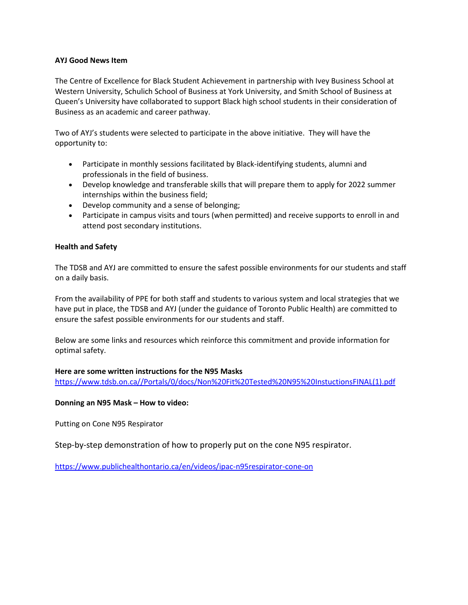# **AYJ Good News Item**

The Centre of Excellence for Black Student Achievement in partnership with Ivey Business School at Western University, Schulich School of Business at York University, and Smith School of Business at Queen's University have collaborated to support Black high school students in their consideration of Business as an academic and career pathway.

Two of AYJ's students were selected to participate in the above initiative. They will have the opportunity to:

- Participate in monthly sessions facilitated by Black-identifying students, alumni and professionals in the field of business.
- Develop knowledge and transferable skills that will prepare them to apply for 2022 summer internships within the business field;
- Develop community and a sense of belonging;
- Participate in campus visits and tours (when permitted) and receive supports to enroll in and attend post secondary institutions.

# **Health and Safety**

The TDSB and AYJ are committed to ensure the safest possible environments for our students and staff on a daily basis.

From the availability of PPE for both staff and students to various system and local strategies that we have put in place, the TDSB and AYJ (under the guidance of Toronto Public Health) are committed to ensure the safest possible environments for our students and staff.

Below are some links and resources which reinforce this commitment and provide information for optimal safety.

# **Here are some written instructions for the N95 Masks**

[https://www.tdsb.on.ca//Portals/0/docs/Non%20Fit%20Tested%20N95%20InstuctionsFINAL\(1\).pdf](http://track.spe.schoolmessenger.com/f/a/o43EzKZmiPzknNM0Vt_t2Q%7E%7E/AAAAAQA%7E/RgRjz9bkP0RYaHR0cHM6Ly93d3cudGRzYi5vbi5jYS9Qb3J0YWxzLzAvZG9jcy9Ob24lMjBGaXQlMjBUZXN0ZWQlMjBOOTUlMjBJbnN0dWN0aW9uc0ZJTkFMKDEpLnBkZlcHc2Nob29sbUIKYelko-5hVba561IWa2FyaW0uc3VraHVAdGRzYi5vbi5jYVgEAAAAAg%7E%7E)

# **Donning an N95 Mask – How to video:**

Putting on Cone N95 Respirator

Step-by-step demonstration of how to properly put on the cone N95 respirator.

[https://www.publichealthontario.ca/en/videos/ipac-n95respirator-cone-on](http://track.spe.schoolmessenger.com/f/a/u2YJ0e5n_So9vOK5GhY7Iw%7E%7E/AAAAAQA%7E/RgRjz9bkP0RHaHR0cHM6Ly93d3cucHVibGljaGVhbHRob250YXJpby5jYS9lbi92aWRlb3MvaXBhYy1uOTVyZXNwaXJhdG9yLWNvbmUtb25XB3NjaG9vbG1CCmHpZKPuYVW2uetSFmthcmltLnN1a2h1QHRkc2Iub24uY2FYBAAAAAI%7E)